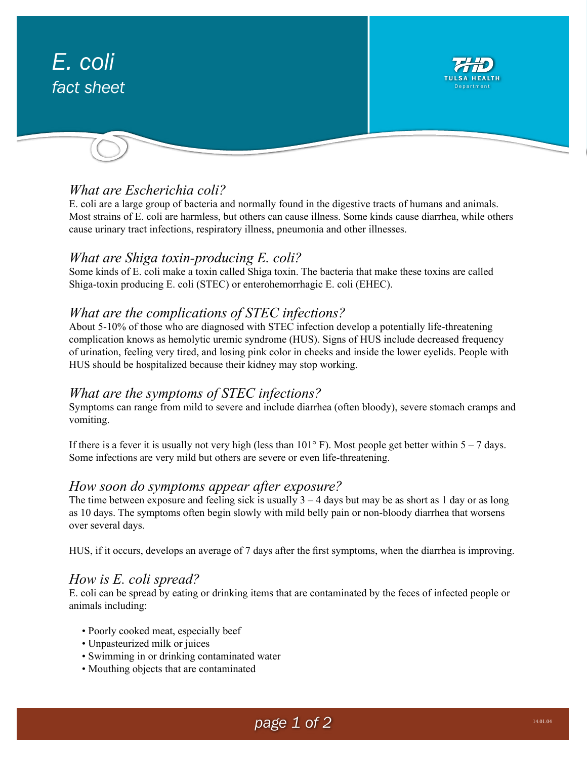# *E. coli fact sheet* TULSA HEALTH Department

## *What are Escherichia coli?*

E. coli are a large group of bacteria and normally found in the digestive tracts of humans and animals. Most strains of E. coli are harmless, but others can cause illness. Some kinds cause diarrhea, while others cause urinary tract infections, respiratory illness, pneumonia and other illnesses.

## *What are Shiga toxin-producing E. coli?*

Some kinds of E. coli make a toxin called Shiga toxin. The bacteria that make these toxins are called Shiga-toxin producing E. coli (STEC) or enterohemorrhagic E. coli (EHEC).

## *What are the complications of STEC infections?*

About 5-10% of those who are diagnosed with STEC infection develop a potentially life-threatening complication knows as hemolytic uremic syndrome (HUS). Signs of HUS include decreased frequency of urination, feeling very tired, and losing pink color in cheeks and inside the lower eyelids. People with HUS should be hospitalized because their kidney may stop working.

## *What are the symptoms of STEC infections?*

Symptoms can range from mild to severe and include diarrhea (often bloody), severe stomach cramps and vomiting.

If there is a fever it is usually not very high (less than  $101^\circ$  F). Most people get better within 5 – 7 days. Some infections are very mild but others are severe or even life-threatening.

## *How soon do symptoms appear after exposure?*

The time between exposure and feeling sick is usually  $3 - 4$  days but may be as short as 1 day or as long as 10 days. The symptoms often begin slowly with mild belly pain or non-bloody diarrhea that worsens over several days.

HUS, if it occurs, develops an average of 7 days after the first symptoms, when the diarrhea is improving.

#### *How is E. coli spread?*

E. coli can be spread by eating or drinking items that are contaminated by the feces of infected people or animals including:

- Poorly cooked meat, especially beef
- Unpasteurized milk or juices
- Swimming in or drinking contaminated water
- Mouthing objects that are contaminated